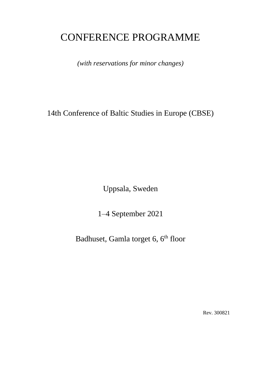# CONFERENCE PROGRAMME

*(with reservations for minor changes)*

14th Conference of Baltic Studies in Europe (CBSE)

Uppsala, Sweden

1–4 September 2021

Badhuset, Gamla torget 6, 6<sup>th</sup> floor

Rev. 300821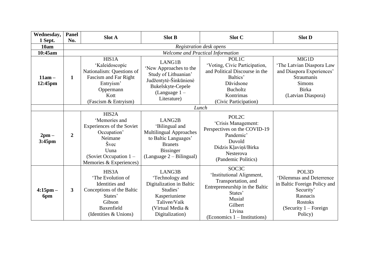| Wednesday,           | <b>Panel</b>   | <b>Slot A</b>                                                                                                                                        | <b>Slot B</b>                                                                                                                                          | Slot C                                                                                                                                                                              | <b>Slot D</b>                                                                                                                                      |  |
|----------------------|----------------|------------------------------------------------------------------------------------------------------------------------------------------------------|--------------------------------------------------------------------------------------------------------------------------------------------------------|-------------------------------------------------------------------------------------------------------------------------------------------------------------------------------------|----------------------------------------------------------------------------------------------------------------------------------------------------|--|
| 1 Sept.              | No.            |                                                                                                                                                      |                                                                                                                                                        |                                                                                                                                                                                     |                                                                                                                                                    |  |
| 10am                 |                | Registration desk opens                                                                                                                              |                                                                                                                                                        |                                                                                                                                                                                     |                                                                                                                                                    |  |
| 10:45am              |                |                                                                                                                                                      |                                                                                                                                                        | Welcome and Practical Information                                                                                                                                                   |                                                                                                                                                    |  |
| $11am -$<br>12:45pm  | $\mathbf{1}$   | HIS1A<br>'Kaleidoscopic<br>Nationalism: Questions of<br>Fascism and Far Right<br>Entryism'<br>Oppermann<br>Kott<br>(Fascism & Entryism)              | LANG1B<br>'New Approaches to the<br>Study of Lithuanian'<br>Judžentytė-Šinkūnienė<br>Bukelskyte-Cepele<br>(Language $1 -$<br>Literature)               | <b>POL1C</b><br>'Voting, Civic Participation,<br>and Political Discourse in the<br>Baltics'<br>Dāvidsone<br><b>Bucholtz</b><br>Kontrimas<br>(Civic Participation)                   | MIG1D<br>'The Latvian Diaspora Law<br>and Diaspora Experiences'<br><b>Straumanis</b><br><b>Simons</b><br>Birka<br>(Latvian Diaspora)               |  |
|                      | Lunch          |                                                                                                                                                      |                                                                                                                                                        |                                                                                                                                                                                     |                                                                                                                                                    |  |
| $2pm -$<br>$3:45$ pm | $\overline{2}$ | HIS2A<br>'Memories and<br>Experiences of the Soviet<br>Occupation'<br>Neimane<br>Švec<br>Uuna<br>(Soviet Occupation $1 -$<br>Memories & Experiences) | LANG2B<br>'Bilingual and<br><b>Multilingual Approaches</b><br>to Baltic Languages'<br><b>Branets</b><br><b>Bissinger</b><br>$(Language 2 - Bilingual)$ | POL2C<br>'Crisis Management:<br>Perspectives on the COVID-19<br>Pandemic'<br>Duvold<br>Didzis Kļaviņš/Birka<br>Nesterova<br>(Pandemic Politics)                                     |                                                                                                                                                    |  |
| $4:15$ pm $-$<br>6pm | $\overline{3}$ | HIS3A<br>'The Evolution of<br>Identities and<br>Conceptions of the Baltic<br>States'<br>Gibson<br>Baxenfield<br>(Identities & Unions)                | LANG3B<br>'Technology and<br>Digitalization in Baltic<br>Studies'<br>Kasperiuniene<br>Talivee/Vaik<br>(Virtual Media &<br>Digitalization)              | SOC <sub>3</sub> C<br>'Institutional Alignment,<br>Transportation, and<br>Entrepreneurship in the Baltic<br>States'<br>Musiał<br>Gilbert<br>Līvina<br>$(Economics 1 - Intitutions)$ | POL3D<br>'Dilemmas and Deterrence<br>in Baltic Foreign Policy and<br>Security'<br>Rasnacis<br><b>Rostoks</b><br>(Security $1 -$ Foreign<br>Policy) |  |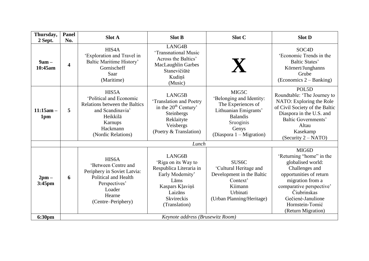| Thursday,<br>2 Sept. | <b>Panel</b><br>No.              | <b>Slot A</b>                                                                                                                                               | <b>Slot B</b>                                                                                                                                            | Slot C                                                                                                                                                | <b>Slot D</b>                                                                                                                                                                                                                    |
|----------------------|----------------------------------|-------------------------------------------------------------------------------------------------------------------------------------------------------------|----------------------------------------------------------------------------------------------------------------------------------------------------------|-------------------------------------------------------------------------------------------------------------------------------------------------------|----------------------------------------------------------------------------------------------------------------------------------------------------------------------------------------------------------------------------------|
| $9am -$<br>10:45am   | $\overline{\mathbf{4}}$          | HIS4A<br>'Exploration and Travel in<br>Baltic Maritime History'<br>Gornischeff<br>Saar<br>(Maritime)                                                        | LANG4B<br>'Transnational Music<br>Across the Baltics'<br><b>MacLaughlin Garbes</b><br>Stanevičiūtė<br>Kudinš<br>(Music)                                  | X                                                                                                                                                     | SOC <sub>4</sub> D<br>'Economic Trends in the<br><b>Baltic States'</b><br>Körnert/Junghanns<br>Grube<br>$(Economics 2-Banking)$                                                                                                  |
| $11:15am -$<br>1pm   | 5                                | HIS5A<br>'Political and Economic<br>Relations between the Baltics<br>and Scandinavia'<br>Heikkilä<br>Karnups<br>Hackmann<br>(Nordic Relations)              | LANG5B<br>'Translation and Poetry<br>in the 20 <sup>th</sup> Century'<br>Steinbergs<br>Reklaityte<br>Veisbergs<br>(Poetry & Translation)                 | MIG5C<br>'Belonging and Identity:<br>The Experiences of<br>Lithuanian Emigrants'<br><b>Balandis</b><br>Sruoginis<br>Genys<br>(Diaspora 1 – Migration) | POL5D<br>Roundtable: 'The Journey to<br>NATO: Exploring the Role<br>of Civil Society of the Baltic<br>Diaspora in the U.S. and<br>Baltic Governments'<br>Altau<br>Kasekamp<br>$(Security 2 - NATO)$                              |
|                      | Lunch                            |                                                                                                                                                             |                                                                                                                                                          |                                                                                                                                                       |                                                                                                                                                                                                                                  |
| $2pm -$<br>3:45pm    | 6                                | HIS <sub>6</sub> A<br>'Between Centre and<br>Periphery in Soviet Latvia:<br>Political and Health<br>Perspectives'<br>Loader<br>Hearne<br>(Centre–Periphery) | LANG6B<br>'Riga on its Way to<br>Respublica Literaria in<br>Early Modernity'<br>Lāms<br>Kaspars Kļaviņš<br>Laizāns<br><b>Skvireckis</b><br>(Translation) | SUS <sub>6</sub> C<br>'Cultural Heritage and<br>Development in the Baltic<br>Context'<br>Kiimann<br>Urbinati<br>(Urban Planning/Heritage)             | MIG6D<br>'Returning "home" in the<br>globalised world:<br>Challenges and<br>opportunities of return<br>migration from a<br>comparative perspective'<br>Čiubrinskas<br>Gečienė-Janulione<br>Hornstein-Tomić<br>(Return Migration) |
| 6:30pm               | Keynote address (Brusewitz Room) |                                                                                                                                                             |                                                                                                                                                          |                                                                                                                                                       |                                                                                                                                                                                                                                  |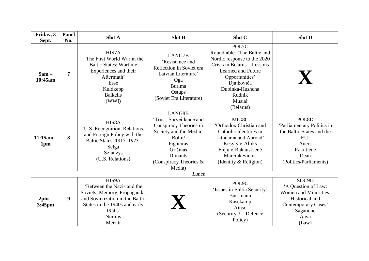| Friday, 3<br>Sept.   | <b>Panel</b><br>No. | <b>Slot A</b>                                                                                                                                                                 | <b>Slot B</b>                                                                                                                                                                      | Slot C                                                                                                                                                                                                       | <b>Slot D</b>                                                                                                                   |
|----------------------|---------------------|-------------------------------------------------------------------------------------------------------------------------------------------------------------------------------|------------------------------------------------------------------------------------------------------------------------------------------------------------------------------------|--------------------------------------------------------------------------------------------------------------------------------------------------------------------------------------------------------------|---------------------------------------------------------------------------------------------------------------------------------|
| $9am -$<br>10:45am   | $\overline{7}$      | HIS7A<br>'The First World War in the<br><b>Baltic States: Wartime</b><br>Experiences and their<br>Aftermath'<br>Esse<br>Kuldkepp<br><b>Balkelis</b><br>(WWI)                  | LANG7B<br>'Resistance and<br>Reflection in Soviet era<br>Latvian Literature'<br>Oga<br><b>Burima</b><br>Ostups<br>(Soviet Era Literature)                                          | POL7C<br>Roundtable: 'The Baltic and<br>Nordic response to the 2020<br>Crisis in Belarus – Lessons<br>Learned and Future<br>Opportunities'<br>Djatkoviča<br>Dubinka-Hushcha<br>Rudnik<br>Musiał<br>(Belarus) | X                                                                                                                               |
| $11:15am -$<br>1pm   | 8                   | HIS8A<br>'U.S. Recognition, Relations,<br>and Foreign Policy with the<br>Baltic States, 1917-1923'<br>Selga<br>Szlaużys<br>(U.S. Relations)                                   | LANG8B<br>'Trust, Surveillance and<br>Conspiracy Theories in<br>Society and the Media'<br>Bolin/<br>Figueiras<br>Grišinas<br><b>Dimants</b><br>(Conspiracy Theories $\&$<br>Media) | MIG8C<br>'Orthodox Christian and<br>Catholic Identities in<br>Lithuania and Abroad'<br>Kesylyte-Alliks<br>Frėjutė-Rakauskienė<br>Marcinkevicius<br>(Identity & Religion)                                     | POL8D<br>'Parliamentary Politics in<br>the Baltic States and the<br>EU'<br>Auers<br>Rakutiene<br>Dean<br>(Politics/Parliaments) |
|                      |                     |                                                                                                                                                                               | Lunch                                                                                                                                                                              |                                                                                                                                                                                                              |                                                                                                                                 |
| $2$ pm $-$<br>3:45pm | $\boldsymbol{9}$    | HIS9A<br>'Between the Nazis and the<br>Soviets: Memory, Propaganda,<br>and Sovietization in the Baltic<br>States in the 1940s and early<br>1950s'<br><b>Nurmis</b><br>Merritt |                                                                                                                                                                                    | POL9C<br>'Issues in Baltic Security'<br><b>Bussmann</b><br>Kasekamp<br>Ainso<br>(Security $3$ – Defence<br>Policy)                                                                                           | SOC9D<br>'A Question of Law:<br>Women and Minorities,<br>Historical and<br>Contemporary Cases'<br>Sagatiene<br>Aava<br>(Law)    |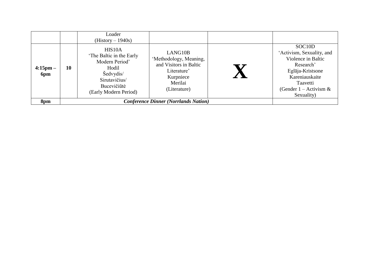|                      |    | Loader<br>$(History - 1940s)$                                                                                                       |                                                                                                                    |                                                                                                                                                                                  |
|----------------------|----|-------------------------------------------------------------------------------------------------------------------------------------|--------------------------------------------------------------------------------------------------------------------|----------------------------------------------------------------------------------------------------------------------------------------------------------------------------------|
| $4:15$ pm $-$<br>6pm | 10 | HIS10A<br>'The Baltic in the Early<br>Modern Period'<br>Hodil<br>Šedvydis/<br>Sirutavičius/<br>Bucevičiūtė<br>(Early Modern Period) | LANG10B<br>'Methodology, Meaning,<br>and Visitors in Baltic<br>Literature'<br>Kurpniece<br>Merilai<br>(Literature) | SOC <sub>10</sub> D<br>'Activism, Sexuality, and<br>Violence in Baltic<br>Research'<br>Eglāja-Kristsone<br>Kareniauskaite<br>Taavetti<br>(Gender 1 – Activism $\&$<br>Sexuality) |
| 8pm                  |    |                                                                                                                                     | <b>Conference Dinner (Norrlands Nation)</b>                                                                        |                                                                                                                                                                                  |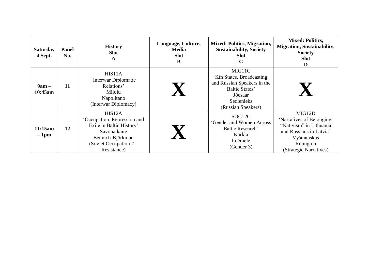| <b>Saturday</b><br>4 Sept. | <b>Panel</b><br>No. | <b>History</b><br><b>Slot</b><br>A                                                                                                               | Language, Culture,<br><b>Media</b><br><b>Slot</b><br>В | <b>Mixed: Politics, Migration,</b><br><b>Sustainability, Society</b><br><b>Slot</b><br>C                                                    | <b>Mixed: Politics,</b><br><b>Migration, Sustainability,</b><br><b>Society</b><br><b>Slot</b><br>D                                             |
|----------------------------|---------------------|--------------------------------------------------------------------------------------------------------------------------------------------------|--------------------------------------------------------|---------------------------------------------------------------------------------------------------------------------------------------------|------------------------------------------------------------------------------------------------------------------------------------------------|
| $9am -$<br>10:45am         | 11                  | HIS11A<br>'Interwar Diplomatic<br>Relations'<br>Miloiu<br>Napolitano<br>(Interwar Diplomacy)                                                     |                                                        | MIG11C<br>'Kin States, Broadcasting,<br>and Russian Speakers in the<br>Baltic States'<br>Jõesaar<br><b>Sedlenieks</b><br>(Russian Speakers) |                                                                                                                                                |
| 11:15am<br>$-1$ pm         | 12                  | HIS12A<br>'Occupation, Repression and<br>Exile in Baltic History'<br>Savonaikaite<br>Bennich-Björkman<br>(Soviet Occupation $2 -$<br>Resistance) |                                                        | SOC <sub>12C</sub><br>'Gender and Women Across<br>Baltic Research'<br>Kārkla<br>Ločmele<br>(Gender 3)                                       | MIG12D<br>'Narratives of Belonging:<br>"Nativism" in Lithuania<br>and Russians in Latvia'<br>Vyšniauskas<br>Rönngren<br>(Strategic Narratives) |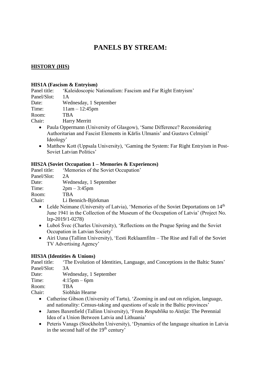## **PANELS BY STREAM:**

#### **HISTORY (HIS)**

#### **HIS1A (Fascism & Entryism)**

Panel title: 'Kaleidoscopic Nationalism: Fascism and Far Right Entryism'

Panel/Slot: 1A

Date: Wednesday, 1 September

Time: 11am – 12:45pm

Room: TBA

Chair: Harry Merritt

- Paula Oppermann (University of Glasgow), 'Same Difference? Reconsidering Authoritarian and Fascist Elements in Kārlis Ulmanis' and Gustavs Celmiņš' Ideology'
- Matthew Kott (Uppsala University), 'Gaming the System: Far Right Entryism in Post-Soviet Latvian Politics'

#### **HIS2A (Soviet Occupation 1 – Memories & Experiences)**

Panel title: 'Memories of the Soviet Occupation'

Panel/Slot: 2A

Date: Wednesday, 1 September

Time: 2pm – 3:45pm

Room: TBA

Chair: Li Bennich-Björkman

- Lelde Neimane (University of Latvia), 'Memories of the Soviet Deportations on 14<sup>th</sup> June 1941 in the Collection of the Museum of the Occupation of Latvia' (Project No. lzp-2019/1-0278)
- Luboš Švec (Charles University), 'Reflections on the Prague Spring and the Soviet Occupation in Latvian Society'
- Airi Uuna (Tallinn University), 'Eesti Reklaamfilm The Rise and Fall of the Soviet TV Advertising Agency'

#### **HIS3A (Identities & Unions)**

Panel title: 'The Evolution of Identities, Language, and Conceptions in the Baltic States' Panel/Slot: 3A

Date: Wednesday, 1 September

Time: 4:15pm – 6pm

Room: TBA

Chair: Siobhán Hearne

- Catherine Gibson (University of Tartu), 'Zooming in and out on religion, language, and nationality: Census-taking and questions of scale in the Baltic provinces'
- James Baxenfield (Tallinn University), 'From *Respublika* to *Aistija*: The Perennial Idea of a Union Between Latvia and Lithuania'
- Peteris Vanags (Stockholm University), 'Dynamics of the language situation in Latvia in the second half of the 19<sup>th</sup> century'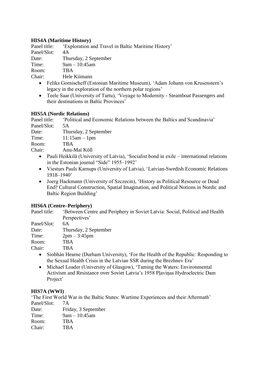## **HIS4A (Maritime History)**

Panel title: 'Exploration and Travel in Baltic Maritime History'

Panel/Slot: 4A

Date: Thursday, 2 September

Time: 9am – 10:45am

Room: TBA

Chair: Hele Kiimann

- Feliks Gornischeff (Estonian Maritime Museum), 'Adam Johann von Krusenstern's legacy in the exploration of the northern polar regions'
- Teele Saar (University of Tartu), 'Voyage to Modernity Steamboat Passengers and their destinations in Baltic Provinces'

## **HIS5A (Nordic Relations)**

Panel title: 'Political and Economic Relations between the Baltics and Scandinavia' Panel/Slot: 5A

Date: Thursday, 2 September<br>Time: 11:15am – 1pm  $11:15am - 1pm$ 

Room: TBA

Chair: Anu-Mai Köll

- Pauli Heikkilä (University of Latvia), 'Socialist bond in exile international relations in the Estonian journal "Side" 1955–1992'
- Viesturs Pauls Karnups (University of Latvia), 'Latvian-Swedish Economic Relations 1918–1940'
- Joerg Hackmann (University of Szczecin), 'History as Political Resource or Dead End? Cultural Construction, Spatial Imagination, and Political Notions in Nordic and Baltic Region Building'

## **HIS6A (Centre–Periphery)**

Panel title: 'Between Centre and Periphery in Soviet Latvia: Social, Political and Health Perspectives'

Panel/Slot: 6A

Date: Thursday, 2 September

Time: 2pm – 3:45pm

Room: TBA

Chair: TBA

- Siobhán Hearne (Durham University), 'For the Health of the Republic: Responding to the Sexual Health Crisis in the Latvian SSR during the Brezhnev Era'
- Michael Loader (University of Glasgow), 'Taming the Waters: Environmental Activism and Resistance over Soviet Latvia's 1958 Pļaviņas Hydroelectric Dam Project'

#### **HIS7A (WWI)**

'The First World War in the Baltic States: Wartime Experiences and their Aftermath' Panel/Slot: 7A

Date: Friday, 3 September Time: 9am – 10:45am Room: TBA Chair: TBA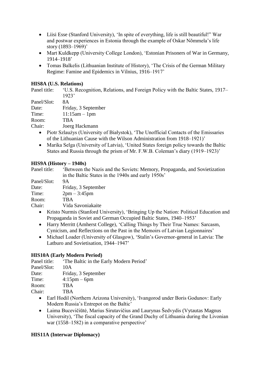- Liisi Esse (Stanford University), 'In spite of everything, life is still beautiful!" War and postwar experiences in Estonia through the example of Oskar Nõmmela's life story (1893–1969)'
- Mart Kuldkepp (University College London), 'Estonian Prisoners of War in Germany, 1914–1918'
- Tomas Balkelis (Lithuanian Institute of History), 'The Crisis of the German Military Regime: Famine and Epidemics in Vilnius, 1916–1917'

## **HIS8A (U.S. Relations)**

Panel title: 'U.S. Recognition, Relations, and Foreign Policy with the Baltic States, 1917– 1923'

Panel/Slot: 8A

Date: Friday, 3 September

Time: 11:15am – 1pm

Room: TBA

Chair: Joerg Hackmann

- Piotr Szlaużys (University of Białystok), 'The Unofficial Contacts of the Emissaries of the Lithuanian Cause with the Wilson Administration from 1918–1921)'
- Marika Selga (University of Latvia), 'United States foreign policy towards the Baltic States and Russia through the prism of Mr. F.W.B. Coleman's diary (1919–1923)'

## **HIS9A (History – 1940s)**

Panel title: 'Between the Nazis and the Soviets: Memory, Propaganda, and Sovietization in the Baltic States in the 1940s and early 1950s'

Panel/Slot: 9A

Date: Friday, 3 September

Time: 2pm – 3:45pm

Room: TBA

Chair: Vida Savoniakaite

- Kristo Nurmis (Stanford University), 'Bringing Up the Nation: Political Education and Propaganda in Soviet and German Occupied Baltic States, 1940–1953'
- Harry Merritt (Amherst College), 'Calling Things by Their True Names: Sarcasm, Cynicism, and Reflections on the Past in the Memoirs of Latvian Legionnaires'
- Michael Loader (University of Glasgow), 'Stalin's Governor-general in Latvia: The Latburo and Sovietisation, 1944–1947'

## **HIS10A (Early Modern Period)**

Panel title: 'The Baltic in the Early Modern Period'

Panel/Slot: 10A

Date: Friday, 3 September

Time: 4:15pm – 6pm

Room: TBA

Chair: TBA

- Earl Hodil (Northern Arizona University), 'Ivangorod under Boris Godunov: Early Modern Russia's Entrepot on the Baltic'
- Laima Bucevičiūtė, Marius Sirutavičius and Laurynas Šedvydis (Vytautas Magnus University), 'The fiscal capacity of the Grand Duchy of Lithuania during the Livonian war (1558–1582) in a comparative perspective'

## **HIS11A (Interwar Diplomacy)**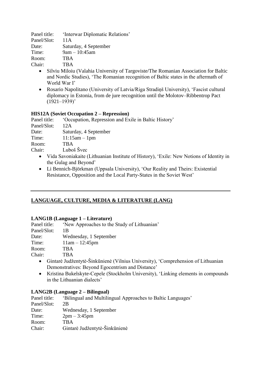Panel title: 'Interwar Diplomatic Relations' Panel/Slot: 11A Date: Saturday, 4 September Time: 9am – 10:45am

Room: TBA

Chair: TBA

- Silviu Miloiu (Valahia University of Targoviste/The Romanian Association for Baltic and Nordic Studies), 'The Romanian recognition of Baltic states in the aftermath of World War I'
- Rosario Napolitano (University of Latvia/Riga Stradiņš University), 'Fascist cultural diplomacy in Estonia, from de jure recognition until the Molotov–Ribbentrop Pact  $(1921-1939)'$

## **HIS12A (Soviet Occupation 2 – Repression)**

Panel title: 'Occupation, Repression and Exile in Baltic History'

Panel/Slot: 12A

Date: Saturday, 4 September<br>Time: 11:15am – 1pm

 $11:15$ am – 1pm

Room: TBA

Chair: Luboš Švec

- Vida Savoniakaite (Lithuanian Institute of History), 'Exile: New Notions of Identity in the Gulag and Beyond'
- Li Bennich-Björkman (Uppsala University), 'Our Reality and Theirs: Existential Resistance, Opposition and the Local Party-States in the Soviet West'

## **LANGUAGE, CULTURE, MEDIA & LITERATURE (LANG)**

## **LANG1B (Language 1 – Literature)**

Panel title: 'New Approaches to the Study of Lithuanian' Panel/Slot: 1B Date: Wednesday, 1 September

Time: 11am – 12:45pm

Room: TBA

Chair: TBA

- Gintarė Judžentytė-Šinkūnienė (Vilnius University), 'Comprehension of Lithuanian Demonstratives: Beyond Egocentrism and Distance'
- Kristina Bukelskyte-Cepele (Stockholm University), 'Linking elements in compounds in the Lithuanian dialects'

#### **LANG2B (Language 2 – Bilingual)**

Panel title: 'Bilingual and Multilingual Approaches to Baltic Languages' Panel/Slot: 2B Date: Wednesday, 1 September Time: 2pm – 3:45pm Room: TBA Chair: Gintarė Judžentytė-Šinkūnienė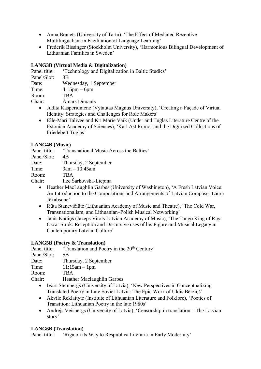- Anna Branets (University of Tartu), 'The Effect of Mediated Receptive Multilingualism in Facilitation of Language Learning'
- Frederik Bissinger (Stockholm University), 'Harmonious Bilingual Development of Lithuanian Families in Sweden'

## **LANG3B (Virtual Media & Digitalization)**

Panel title: 'Technology and Digitalization in Baltic Studies'

Panel/Slot: 3B

Date: Wednesday, 1 September

Time: 4:15pm – 6pm

Room: TBA

Chair: Ainars Dimants

- Judita Kasperiuniene (Vytautas Magnus University), 'Creating a Façade of Virtual Identity: Strategies and Challenges for Role Makers'
- Elle-Mari Talivee and Kri Marie Vaik (Under and Tuglas Literature Centre of the Estonian Academy of Sciences), 'Karl Ast Rumor and the Digitized Collections of Friedebert Tuglas'

## **LANG4B (Music)**

Panel title: 'Transnational Music Across the Baltics'

Panel/Slot: 4B

Date: Thursday, 2 September

Time: 9am – 10:45am

Room: TBA

Chair: Ilze Šarkovska-Liepiņa

- Heather MacLaughlin Garbes (University of Washington), 'A Fresh Latvian Voice: An Introduction to the Compositions and Arrangements of Latvian Composer Laura Jēkabsone'
- Rūta Stanevičiūtė (Lithuanian Academy of Music and Theatre), 'The Cold War, Transnationalism, and Lithuanian–Polish Musical Networking'
- Jānis Kudiņš (Jazeps Vitols Latvian Academy of Music), 'The Tango King of Riga Oscar Strok: Reception and Discursive uses of his Figure and Musical Legacy in Contemporary Latvian Culture'

## **LANG5B (Poetry & Translation)**

Panel title: 'Translation and Poetry in the 20<sup>th</sup> Century'

Panel/Slot: 5B

Date: Thursday, 2 September

Time: 11:15am – 1pm

Room: TBA

Chair: Heather Maclaughlin Garbes

- Ivars Steinbergs (University of Latvia), 'New Perspectives in Conceptualizing Translated Poetry in Late Soviet Latvia: The Epic Work of Uldis Bērziņš'
- Akvile Reklaityte (Institute of Lithuanian Literature and Folklore), 'Poetics of Transition: Lithuanian Poetry in the late 1980s'
- Andrejs Veisbergs (University of Latvia), 'Censorship in translation The Latvian story'

## **LANG6B (Translation)**

Panel title: 'Riga on its Way to Respublica Literaria in Early Modernity'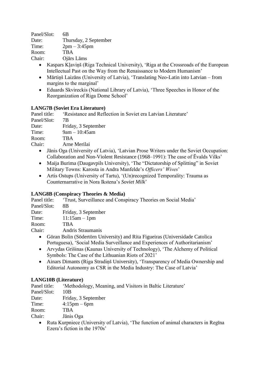Panel/Slot: 6B Date: Thursday, 2 September Time: 2pm – 3:45pm Room: TBA Chair: Ojārs Lāms

- Kaspars Klavinš (Riga Technical University), 'Riga at the Crossroads of the European Intellectual Past on the Way from the Renaissance to Modern Humanism'
- Mārtiņš Laizāns (University of Latvia), 'Translating Neo-Latin into Latvian from margins to the marginal'
- Eduards Skvireckis (National Library of Latvia), 'Three Speeches in Honor of the Reorganization of Riga Dome School'

## **LANG7B (Soviet Era Literature)**

Panel title: 'Resistance and Reflection in Soviet era Latvian Literature' Panel/Slot: 7B

Date: Friday, 3 September

Time: 9am – 10:45am

Room: TBA

Chair: Arne Merilai

- Jānis Oga (University of Latvia), 'Latvian Prose Writers under the Soviet Occupation: Collaboration and Non-Violent Resistance (1968–1991): The case of Ēvalds Vilks'
- Maija Burima (Daugavpils University), 'The "Dictatorship of Splitting" in Soviet Military Towns: Karosta in Andra Manfelde's *Officers' Wives*'
- Artis Ostups (University of Tartu), '(Un)recognized Temporality: Trauma as Counternarrative in Nora Ikstena's *Soviet Milk*'

## **LANG8B (Conspiracy Theories & Media)**

Panel title: 'Trust, Surveillance and Conspiracy Theories on Social Media'

Panel/Slot: 8B

Date: Friday, 3 September

Time: 11:15am – 1pm

Room: TBA

Chair: Andris Straumanis

- Göran Bolin (Södertörn University) and Rita Figueiras (Universidade Catolica Portuguesa), 'Social Media Surveillance and Experiences of Authoritarianism'
- Arvydas Grišinas (Kaunas University of Technology), 'The Alchemy of Political Symbols: The Case of the Lithuanian Riots of 2021'
- Ainars Dimants (Riga Stradiņš University), 'Transparency of Media Ownership and Editorial Autonomy as CSR in the Media Industry: The Case of Latvia'

## **LANG10B (Literature)**

Panel title: 'Methodology, Meaning, and Visitors in Baltic Literature'

Panel/Slot: 10B

Date: Friday, 3 September

Time: 4:15pm – 6pm

Room: TBA

Chair: Jānis Oga

 Ruta Kurpniece (University of Latvia), 'The function of animal characters in Regīna Ezera's fiction in the 1970s'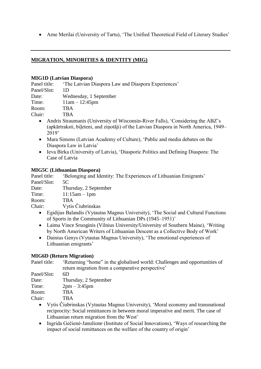Arne Merilai (University of Tartu), 'The Unified Theoretical Field of Literary Studies'

## **MIGRATION, MINORITIES & IDENTITY (MIG)**

#### **MIG1D (Latvian Diaspora)**

Panel title: 'The Latvian Diaspora Law and Diaspora Experiences'

| Panel/Slot: | 1D.                    |
|-------------|------------------------|
| Date:       | Wednesday, 1 September |
| Time:       | $11am - 12:45pm$       |
| Room:       | <b>TBA</b>             |
| Chair:      | <b>TBA</b>             |
|             |                        |

- Andris Straumanis (University of Wisconsin-River Falls), 'Considering the ABZ's (apkārtraksti, biĮeteni, and ziņotāji) of the Latvian Diaspora in North America, 1949– 2019'
- Mara Simons (Latvian Academy of Culture), 'Public and media debates on the Diaspora Law in Latvia'
- Ieva Birka (University of Latvia), 'Diasporic Politics and Defining Diaspora: The Case of Latvia

#### **MIG5C (Lithuanian Diaspora)**

Panel title: 'Belonging and Identity: The Experiences of Lithuanian Emigrants' Panel/Slot: 5C

Date: Thursday, 2 September

Time: 11:15am – 1pm

Room: TBA

Chair: Vytis Čiubrinskas

- Egidijus Balandis (Vytautas Magnus University), 'The Social and Cultural Functions of Sports in the Community of Lithuanian DPs (1945–1951)'
- Laima Vince Sruoginis (Vilnius University/University of Southern Maine), 'Writing by North American Writers of Lithuanian Descent as a Collective Body of Work'
- Dainius Genys (Vytautas Magnus University), 'The emotional experiences of Lithuanian emigrants'

## **MIG6D (Return Migration)**

Panel title: 'Returning "home" in the globalised world: Challenges and opportunities of return migration from a comparative perspective'

| Panel/Slot: | 6D                    |
|-------------|-----------------------|
| Date:       | Thursday, 2 September |
| Time:       | $2pm - 3:45pm$        |
| Room:       | <b>TBA</b>            |
| Chair:      | TBA                   |

- Vytis Čiubrinskas (Vytautas Magnus University), 'Moral economy and transnational reciprocity: Social remittances in between moral imperative and merit. The case of Lithuanian return migration from the West'
- Ingrida Gečienė-Janulione (Institute of Social Innovations), 'Ways of researching the impact of social remittances on the welfare of the country of origin'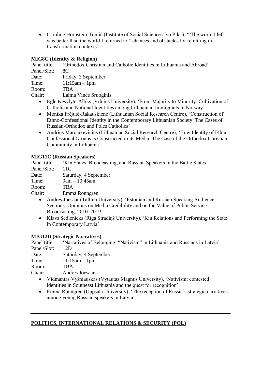Caroline Hornstein-Tomić (Institute of Social Sciences Ivo Pilar), '"The world I left was better than the world I returned to:" chances and obstacles for remitting in transformation contexts'

## **MIG8C (Identity & Religion)**

Panel title: 'Orthodox Christian and Catholic Identities in Lithuania and Abroad' Panel/Slot: 8C

Date: Friday, 3 September

Time: 11:15am – 1pm

Room: TBA

Chair: Laima Vince Sruoginis

- Egle Kesylyte-Alliks (Vilnius University), 'From Majority to Minority: Cultivation of Catholic and National Identities among Lithuanian Immigrants in Norway'
- Monika Frėjutė-Rakauskienė (Lithuanian Social Research Centre), 'Construction of Ethno-Confessional Identity in the Contemporary Lithuanian Society: The Cases of Russian-Orthodox and Poles Catholics'
- Andrius Marcinkevicius (Lithuanian Social Research Centre), 'How Identity of Ethno-Confessional Groups is Constructed in its Media: The Case of the Orthodox Christian Community in Lithuania'

## **MIG11C (Russian Speakers)**

Panel title: 'Kin States, Broadcasting, and Russian Speakers in the Baltic States' Panel/Slot: 11C

Date: Saturday, 4 September

Time: 9am – 10:45am

Room: TBA

Chair: Emma Rönngren

- Andres Jõesaar (Tallinn University), 'Estonian and Russian Speaking Audience Sections: Opinions on Media Credibility and on the Value of Public Service Broadcasting, 2010–2019'
- Klavs Sedlenieks (Riga Stradiņš University), 'Kin Relations and Performing the State in Contemporary Latvia'

## **MIG12D (Strategic Narratives)**

Panel title: 'Narratives of Belonging: "Nativism" in Lithuania and Russians in Latvia' Panel/Slot: 12D

Date: Saturday, 4 September

Time: 11:15am – 1pm

Room: TBA

Chair: Andres Jõesaar

- Vidmantas Vyšniauskas (Vytautas Magnus University), 'Nativism: contested identities in Southeast Lithuania and the quest for recognition'
- Emma Rönngren (Uppsala University), 'The reception of Russia's strategic narratives among young Russian speakers in Latvia'

## **POLITICS, INTERNATIONAL RELATIONS & SECURITY (POL)**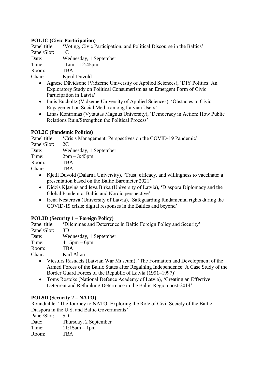## **POL1C (Civic Participation)**

Panel title: 'Voting, Civic Participation, and Political Discourse in the Baltics' Panel/Slot: 1C

Date: Wednesday, 1 September

Time: 11am – 12:45pm

Room: TBA

Chair: Kjetil Duvold

- Agnese Dāvidsone (Vidzeme University of Applied Sciences), 'DIY Politics: An Exploratory Study on Political Consumerism as an Emergent Form of Civic Participation in Latvia'
- Ianis Bucholtz (Vidzeme University of Applied Sciences), 'Obstacles to Civic Engagement on Social Media among Latvian Users'
- Linas Kontrimas (Vytautas Magnus University), 'Democracy in Action: How Public Relations Ruin/Strengthen the Political Process'

## **POL2C (Pandemic Politics)**

Panel title: 'Crisis Management: Perspectives on the COVID-19 Pandemic'

Panel/Slot: 2C

Date: Wednesday, 1 September

Time: 2pm – 3:45pm

Room: TBA

Chair: TBA

- Kjetil Duvold (Dalarna University), 'Trust, efficacy, and willingness to vaccinate: a presentation based on the Baltic Barometer 2021'
- Didzis Kļaviņš and Ieva Birka (University of Latvia), 'Diaspora Diplomacy and the Global Pandemic: Baltic and Nordic perspective'
- Irena Nesterova (University of Latvia), 'Safeguarding fundamental rights during the COVID-19 crisis: digital responses in the Baltics and beyond'

## **POL3D (Security 1 – Foreign Policy)**

Panel title: 'Dilemmas and Deterrence in Baltic Foreign Policy and Security' Panel/Slot: 3D

Date: Wednesday, 1 September

Time: 4:15pm – 6pm

Room: TBA

Chair: Karl Altau

- Viesturs Rasnacis (Latvian War Museum), 'The Formation and Development of the Armed Forces of the Baltic States after Regaining Independence: A Case Study of the Border Guard Forces of the Republic of Latvia (1991–1997)'
- Toms Rostoks (National Defence Academy of Latvia), 'Creating an Effective Deterrent and Rethinking Deterrence in the Baltic Region post-2014'

#### **POL5D (Security 2 – NATO)**

Roundtable: 'The Journey to NATO: Exploring the Role of Civil Society of the Baltic Diaspora in the U.S. and Baltic Governments'

Panel/Slot: 5D

Date: Thursday, 2 September

Time: 11:15am – 1pm

Room: TBA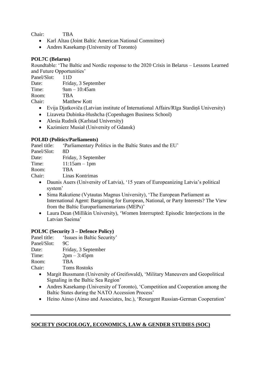Chair: TBA

- Karl Altau (Joint Baltic American National Committee)
- Andres Kasekamp (University of Toronto)

## **POL7C (Belarus)**

Roundtable: 'The Baltic and Nordic response to the 2020 Crisis in Belarus – Lessons Learned and Future Opportunities'

Panel/Slot: 11D

Date: Friday, 3 September

Time: 9am – 10:45am

Room: TBA

Chair: Matthew Kott

- Evija Djatkoviča (Latvian institute of International Affairs/Rīga Stardiņš University)
- Lizaveta Dubinka-Hushcha (Copenhagen Business School)
- Alesia Rudnik (Karlstad University)
- Kazimierz Musiał (University of Gdansk)

#### **POL8D (Politics/Parliaments)**

Panel title: 'Parliamentary Politics in the Baltic States and the EU'

Panel/Slot: 8D

Date: Friday, 3 September

Time: 11:15am – 1pm

Room: TBA

Chair: Linas Kontrimas

- Daunis Auers (University of Latvia), '15 years of Europeanizing Latvia's political system'
- Sima Rakutiene (Vytautas Magnus University), 'The European Parliament as International Agent: Bargaining for European, National, or Party Interests? The View from the Baltic Europarliamentarians (MEPs)'
- Laura Dean (Millikin University), 'Women Interrupted: Episodic Interjections in the Latvian Saeima'

#### **POL9C (Security 3 – Defence Policy)**

Panel title: 'Issues in Baltic Security' Panel/Slot: 9C

Date: Friday, 3 September

Time: 2pm – 3:45pm

Room: TBA

Chair: Toms Rostoks

- Margit Bussmann (University of Greifswald), 'Military Maneuvers and Geopolitical Signaling in the Baltic Sea Region'
- Andres Kasekamp (University of Toronto), 'Competition and Cooperation among the Baltic States during the NATO Accession Process'
- Heino Ainso (Ainso and Associates, Inc.), 'Resurgent Russian-German Cooperation'

## **SOCIETY (SOCIOLOGY, ECONOMICS, LAW & GENDER STUDIES (SOC)**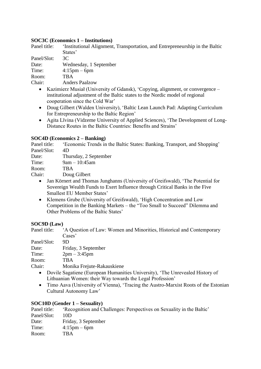#### **SOC3C (Economics 1 – Institutions)**

Panel title: 'Institutional Alignment, Transportation, and Entrepreneurship in the Baltic States'

Panel/Slot: 3C

Date: Wednesday, 1 September

Time: 4:15pm – 6pm

Room: TBA

Chair: Anders Paalzow

- Kazimierz Musiał (University of Gdansk), 'Copying, alignment, or convergence institutional adjustment of the Baltic states to the Nordic model of regional cooperation since the Cold War'
- Doug Gilbert (Walden University), 'Baltic Lean Launch Pad: Adapting Curriculum for Entrepreneurship to the Baltic Region'
- Agita Līvina (Vidzeme University of Applied Sciences), 'The Development of Long-Distance Routes in the Baltic Countries: Benefits and Strains'

## **SOC4D (Economics 2 – Banking)**

Panel title: 'Economic Trends in the Baltic States: Banking, Transport, and Shopping' Panel/Slot: 4D

Date: Thursday, 2 September

Time: 9am – 10:45am

Room: TBA

Chair: Doug Gilbert

- Jan Körnert and Thomas Junghanns (University of Greifswald), 'The Potential for Sovereign Wealth Funds to Exert Influence through Critical Banks in the Five Smallest EU Member States'
- Klemens Grube (University of Greifswald), 'High Concentration and Low Competition in the Banking Markets – the "Too Small to Succeed" Dilemma and Other Problems of the Baltic States'

#### **SOC9D (Law)**

Panel title: 'A Question of Law: Women and Minorities, Historical and Contemporary Cases'

Panel/Slot: 9D

Date: Friday, 3 September

Time: 2pm – 3:45pm

Room: TBA

Chair: Monika Frejute-Rakauskiene

- Dovile Sagatiene (European Humanities University), 'The Unrevealed History of Lithuanian Women: their Way towards the Legal Profession'
- Timo Aava (University of Vienna), 'Tracing the Austro-Marxist Roots of the Estonian Cultural Autonomy Law'

## **SOC10D (Gender 1 – Sexuality)**

Panel title: 'Recognition and Challenges: Perspectives on Sexuality in the Baltic' Panel/Slot: 10D Date: Friday, 3 September Time: 4:15pm – 6pm Room: TBA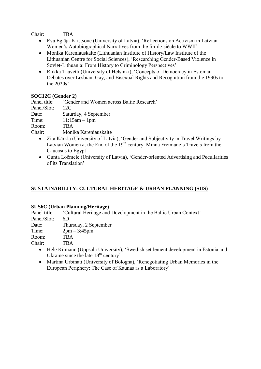Chair: TBA

- Eva Eglāja-Kristsone (University of Latvia), 'Reflections on Activism in Latvian Women's Autobiographical Narratives from the fin-de-siècle to WWII'
- Monika Kareniauskaite (Lithuanian Institute of History/Law Institute of the Lithuanian Centre for Social Sciences), 'Researching Gender-Based Violence in Soviet-Lithuania: From History to Criminology Perspectives'
- Riikka Taavetti (University of Helsinki), 'Concepts of Democracy in Estonian Debates over Lesbian, Gay, and Bisexual Rights and Recognition from the 1990s to the 2020s'

## **SOC12C (Gender 2)**

Panel title: 'Gender and Women across Baltic Research'

Panel/Slot: 12C

Date: Saturday, 4 September

Time: 11:15am – 1pm

Room: TBA

Chair: Monika Kareniauskaite

- Zita Kārkla (University of Latvia), 'Gender and Subjectivity in Travel Writings by Latvian Women at the End of the 19<sup>th</sup> century: Minna Freimane's Travels from the Caucasus to Egypt'
- Gunta Ločmele (University of Latvia), 'Gender-oriented Advertising and Peculiarities of its Translation'

## **SUSTAINABILITY: CULTURAL HERITAGE & URBAN PLANNING (SUS)**

#### **SUS6C (Urban Planning/Heritage)**

Panel title: 'Cultural Heritage and Development in the Baltic Urban Context'

Panel/Slot: 6D

Date: Thursday, 2 September

Time: 2pm – 3:45pm

Room: TBA

Chair: TBA

- Hele Kiimann (Uppsala University), 'Swedish settlement development in Estonia and Ukraine since the late 18<sup>th</sup> century'
- Martina Urbinati (University of Bologna), 'Renegotiating Urban Memories in the European Periphery: The Case of Kaunas as a Laboratory'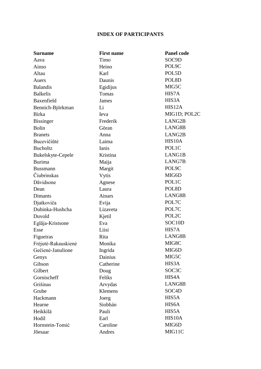## **INDEX OF PARTICIPANTS**

| <b>Surname</b>      | <b>First name</b> | <b>Panel code</b>   |
|---------------------|-------------------|---------------------|
| Aava                | Timo              | SOC9D               |
| Ainso               | Heino             | POL9C               |
| Altau               | Karl              | POL5D               |
| Auers               | Daunis            | POL8D               |
| <b>Balandis</b>     | Egidijus          | MIG5C               |
| <b>Balkelis</b>     | Tomas             | HIS7A               |
| Baxenfield          | James             | HIS3A               |
| Bennich-Björkman    | Li                | HIS <sub>12</sub> A |
| <b>Birka</b>        | Ieva              | MIG1D; POL2C        |
| <b>Bissinger</b>    | Frederik          | LANG2B              |
| <b>Bolin</b>        | Göran             | LANG8B              |
| <b>Branets</b>      | Anna              | LANG2B              |
| Bucevičiūtė         | Laima             | HIS10A              |
| <b>Bucholtz</b>     | Ianis             | POLIC               |
| Bukelskyte-Cepele   | Kristina          | LANG1B              |
| <b>Burima</b>       | Maija             | LANG7B              |
| <b>Bussmann</b>     | Margit            | POL9C               |
| Čiubrinskas         | Vytis             | MIG6D               |
| Dāvidsone           | Agnese            | POL1C               |
| Dean                | Laura             | POL8D               |
| Dimants             | Ainars            | LANG8B              |
| Djatkoviča          | Evija             | POL7C               |
| Dubinka-Hushcha     | Lizaveta          | POL7C               |
| Duvold              | Kjetil            | POL2C               |
| Eglāja-Kristsone    | Eva               | SOC <sub>10</sub> D |
| Esse                | Liisi             | HIS7A               |
| Figueiras           | Rita              | LANG8B              |
| Frėjutė-Rakauskienė | Monika            | MIG8C               |
| Gečienė-Janulione   | Ingrida           | MIG6D               |
| Genys               | Dainius           | MIG5C               |
| Gibson              | Catherine         | HIS3A               |
| Gilbert             | Doug              | SOC3C               |
| Gornischeff         | Feliks            | HIS4A               |
| Grišinas            | Arvydas           | LANG8B              |
| Grube               | Klemens           | SOC <sub>4</sub> D  |
| Hackmann            | Joerg             | HIS5A               |
| Hearne              | Siobhán           | HIS6A               |
| Heikkilä            | Pauli             | HIS5A               |
| Hodil               | Earl              | HIS10A              |
| Hornstein-Tomić     | Caroline          | MIG6D               |
| Jõesaar             | Andres            | MIG11C              |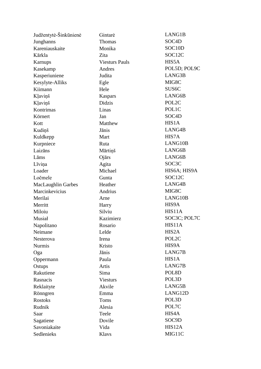| Judžentytė-Šinkūnienė     | Gintarė               | LANG1B              |
|---------------------------|-----------------------|---------------------|
| Junghanns                 | Thomas                | SOC <sub>4</sub> D  |
| Kareniauskaite            | Monika                | SOC <sub>10</sub> D |
| Kārkla                    | Zita                  | SOC12C              |
| Karnups                   | <b>Viesturs Pauls</b> | HIS5A               |
| Kasekamp                  | Andres                | POL5D; POL9C        |
| Kasperiuniene             | Judita                | LANG3B              |
| Kesylyte-Alliks           | Egle                  | MIG8C               |
| Kiimann                   | Hele                  | SUS <sub>6</sub> C  |
| Kļaviņš                   | Kaspars               | LANG6B              |
| Kļaviņš                   | Didzis                | POL2C               |
| Kontrimas                 | Linas                 | POLIC               |
| Körnert                   | Jan                   | SOC <sub>4</sub> D  |
| Kott                      | Matthew               | HIS1A               |
| Kudiņš                    | Jānis                 | LANG4B              |
| Kuldkepp                  | Mart                  | HIS7A               |
| Kurpniece                 | Ruta                  | LANG10B             |
| Laizāns                   | Mārtiņš               | LANG6B              |
| Lāms                      | Ojārs                 | LANG6B              |
| Līviņa                    | Agita                 | SOC <sub>3</sub> C  |
| Loader                    | Michael               | HIS6A; HIS9A        |
| Ločmele                   | Gunta                 | SOC12C              |
| <b>MacLaughlin Garbes</b> | Heather               | LANG4B              |
| Marcinkevicius            | Andrius               | MIG8C               |
| Merilai                   | Arne                  | LANG10B             |
| Merritt                   | Harry                 | HIS9A               |
| Miloiu                    | Silviu                | HIS11A              |
| Musiał                    | Kazimierz             | SOC3C; POL7C        |
| Napolitano                | Rosario               | HIS11A              |
| Neimane                   | Lelde                 | HIS2A               |
| Nesterova                 | Irena                 | POL2C               |
| <b>Nurmis</b>             | Kristo                | HIS9A               |
| Oga                       | Jānis                 | LANG7B              |
| Oppermann                 | Paula                 | HIS1A               |
| Ostups                    | Artis                 | LANG7B              |
| Rakutiene                 | Sima                  | POL8D               |
| Rasnacis                  | <b>Viesturs</b>       | POL3D               |
| Reklaityte                | Akvile                | LANG5B              |
| Rönngren                  | Emma                  | LANG12D             |
| <b>Rostoks</b>            | Toms                  | POL3D               |
| Rudnik                    | Alesia                | POL7C               |
| Saar                      | Teele                 | HIS4A               |
| Sagatiene                 | Dovile                | SOC9D               |
| Savoniakaite              | Vida                  | HIS12A              |
| Sedlenieks                | Klavs                 | MIG11C              |